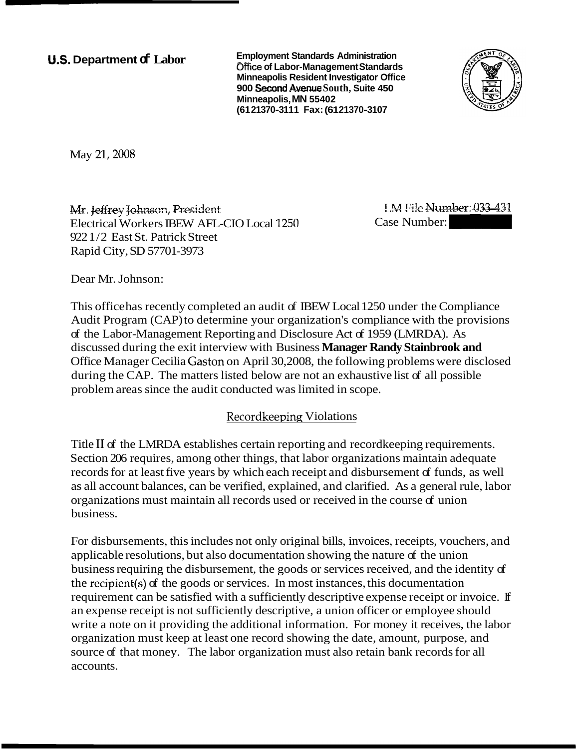## **U.S. Department of Labor**

**Employment Standards Administration Office of Labor-Management Standards Minneapolis Resident Investigator Office 900** *Spe* **Avenue South, Suite 450 Minneapolis, MN 55402 (61 21370-31 1 1 Fax: (61 21370-3107** 



May 21, 2008

*Mr. leffrey Johnson, President* Electrical Workers IBEW AFL-CIO Local 1250 922 1/2 East St. Patrick Street Rapid City, SD 57701-3973

**LM File Number: 033-431** 

Dear Mr. Johnson:

This office has recently completed an audit of IBEW Local 1250 under the Compliance Audit Program (CAP) to determine your organization's compliance with the provisions of the Labor-Management Reporting and Disclosure Act of 1959 (LMRDA). As discussed during the exit interview with Business **Manager Randy Stainbrook and**  Office Manager Cecilia Gaston on April 30,2008, the following problems were disclosed during the CAP. The matters listed below are not an exhaustive list of all possible problem areas since the audit conducted was limited in scope.

# Recordkeeping Violations

Title I1 of the LMRDA establishes certain reporting and recordkeeping requirements. Section 206 requires, among other things, that labor organizations maintain adequate records for at least five years by which each receipt and disbursement of funds, as well as all account balances, can be verified, explained, and clarified. As a general rule, labor organizations must maintain all records used or received in the course of union business.

For disbursements, this includes not only original bills, invoices, receipts, vouchers, and applicable resolutions, but also documentation showing the nature of the union business requiring the disbursement, the goods or services received, and the identity of the recipient(s) of the goods or services. In most instances, this documentation requirement can be satisfied with a sufficiently descriptive expense receipt or invoice. If an expense receipt is not sufficiently descriptive, a union officer or employee should write a note on it providing the additional information. For money it receives, the labor organization must keep at least one record showing the date, amount, purpose, and source of that money. The labor organization must also retain bank records for all accounts.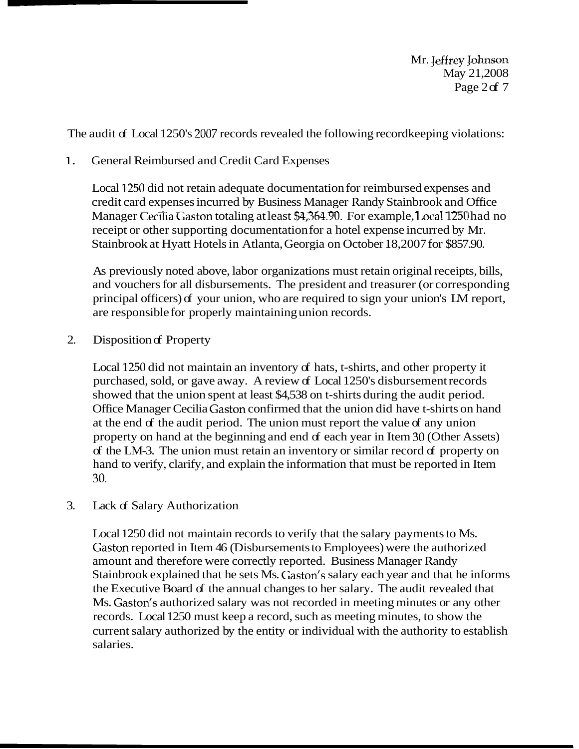**Mr.** Jeffrey Lohnson May 21,2008 Page  $2df$  7

The audit of Local 1250's 2007 records revealed the following record keeping violations:

### 1. General Reimbursed and Credit Card Expenses

Local 1250 did not retain adequate documentation for reimbursed expenses and credit card expenses incurred by Business Manager Randy Stainbrook and Office Manager Cecilia Gaston totaling at least \$4,364.90. For example, Local 1250 had no receipt or other supporting documentation for a hotel expense incurred by Mr. Stainbrook at Hyatt Hotels in Atlanta, Georgia on October 18,2007 for \$857.90.

As previously noted above, labor organizations must retain original receipts, bills, and vouchers for all disbursements. The president and treasurer (or corresponding principal officers) of your union, who are required to sign your union's LM report, are responsible for properly maintaining union records.

2. Disposition of Property

Local 1250 did not maintain an inventory of hats, t-shirts, and other property it purchased, sold, or gave away. A review of Local 1250's disbursement records showed that the union spent at least \$4,538 on t-shirts during the audit period. Office Manager Cecilia Gaston confirmed that the union did have t-shirts on hand at the end of the audit period. The union must report the value of any union property on hand at the beginning and end of each year in Item 30 (Other Assets) of the LM-3. The union must retain an inventory or similar record of property on hand to verify, clarify, and explain the information that must be reported in Item 30.

#### 3. Lack of Salary Authorization

Local 1250 did not maintain records to verify that the salary payments to Ms. Gaston reported in Item 46 (Disbursements to Employees) were the authorized amount and therefore were correctly reported. Business Manager Randy Stainbrook explained that he sets Ms. Gaston's salary each year and that he informs the Executive Board of the annual changes to her salary. The audit revealed that Ms. Gaston's authorized salary was not recorded in meeting minutes or any other records. Local 1250 must keep a record, such as meeting minutes, to show the current salary authorized by the entity or individual with the authority to establish salaries.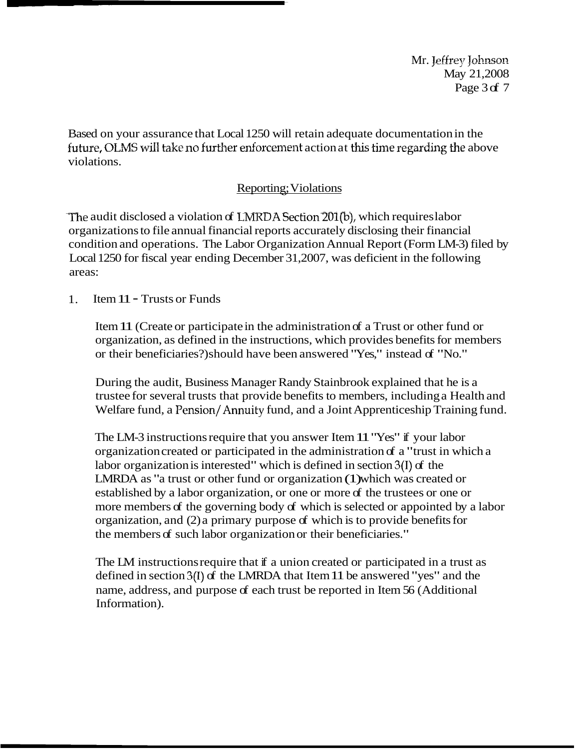Mr. Jeffrey Johnson May 21,2008 Page 3 of 7

Based on your assurance that Local 1250 will retain adequate documentation in the future, OLMS will take no further enforcement action at this time regarding the above violations.

# Reporting; Violations -

The audit disclosed a violation of LMRDA Section  $201(b)$ , which requires labor organizations to file annual financial reports accurately disclosing their financial condition and operations. The Labor Organization Annual Report (Form LM-3) filed by Local 1250 for fiscal year ending December 31,2007, was deficient in the following areas:

1. Item 11 - Trusts or Funds

Item 11 (Create or participate in the administration of a Trust or other fund or organization, as defined in the instructions, which provides benefits for members or their beneficiaries?) should have been answered "Yes," instead of "No."

During the audit, Business Manager Randy Stainbrook explained that he is a trustee for several trusts that provide benefits to members, including a Health and Welfare fund, a Pension/Annuity fund, and a Joint Apprenticeship Training fund.

The LM-3 instructions require that you answer Item 11 "Yes" if your labor organization created or participated in the administration of a "trust in which a labor organization is interested" which is defined in section 3(I) of the LMRDA as "a trust or other fund or organization (1) which was created or established by a labor organization, or one or more of the trustees or one or more members of the governing body of which is selected or appointed by a labor organization, and (2) a primary purpose of which is to provide benefits for the members of such labor organization or their beneficiaries."

The LM instructions require that if a union created or participated in a trust as defined in section 3(I) of the LMRDA that Item 11 be answered "yes" and the name, address, and purpose of each trust be reported in Item 56 (Additional Information).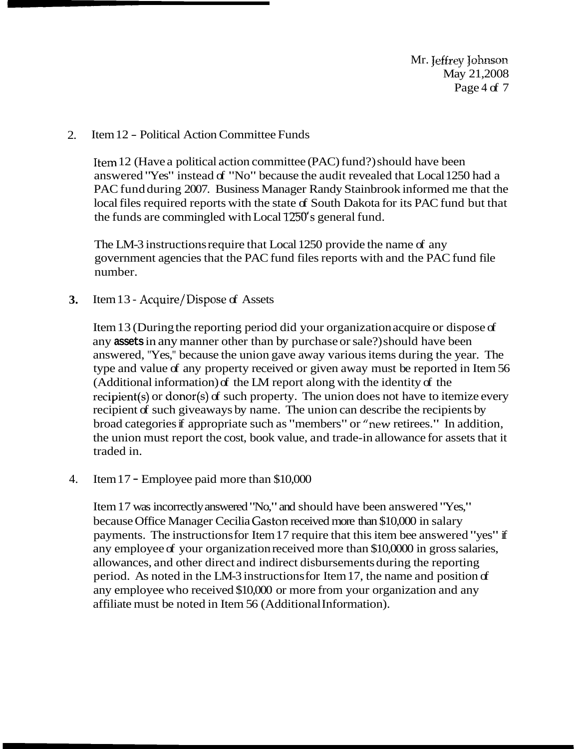Mr. Jeffrey Johnson May 21,2008 Page 4 of 7

#### 2. Item 12 - Political Action Committee Funds

Item 12 (Have a political action committee (PAC) fund?) should have been answered "Yes" instead of "No" because the audit revealed that Local 1250 had a PAC fund during 2007. Business Manager Randy Stainbrook informed me that the local files required reports with the state of South Dakota for its PAC fund but that the funds are commingled with Local  $1250$ 's general fund.

The LM-3 instructions require that Local 1250 provide the name of any government agencies that the PAC fund files reports with and the PAC fund file number.

**3.** Item 13 - Acquire/Dispose of Assets

Item 13 (During the reporting period did your organization acquire or dispose of any **assets** in any manner other than by purchase or sale?) should have been answered, "Yes," because the union gave away various items during the year. The type and value of any property received or given away must be reported in Item 56 (Additional information) of the LM report along with the identity of the recipient(s) or donor(s) of such property. The union does not have to itemize every recipient of such giveaways by name. The union can describe the recipients by broad categories if appropriate such as "members" or "new retirees." In addition, the union must report the cost, book value, and trade-in allowance for assets that it traded in.

4. Item 17 - Employee paid more than \$10,000

Item 17 was incorrectly answered "No," and should have been answered "Yes," because Office Manager Cecilia Gaston received more than \$10,000 in salary payments. The instructions for Item 17 require that this item bee answered "yes" if any employee of your organization received more than \$10,0000 in gross salaries, allowances, and other direct and indirect disbursements during the reporting period. As noted in the LM-3 instructions for Item 17, the name and position of any employee who received \$10,000 or more from your organization and any affiliate must be noted in Item 56 (Additional Information).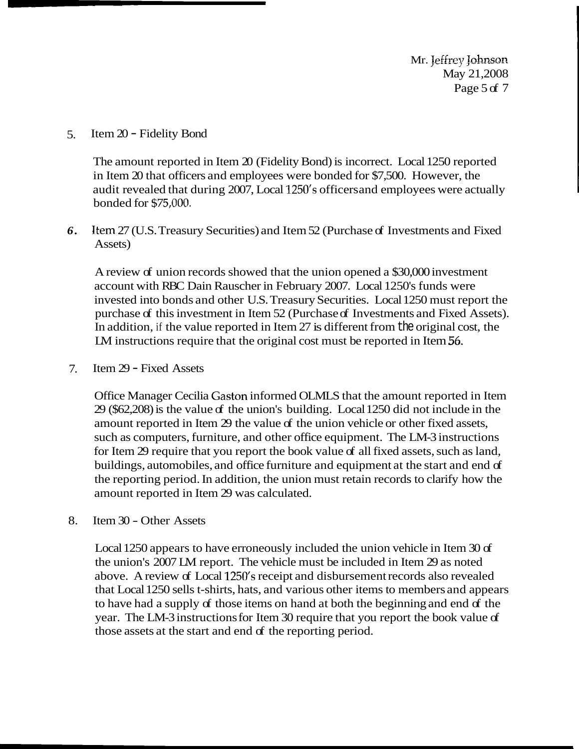Mr. Jeffrey Johnson May 21,2008 Page 5 of 7

5. Item 20 - Fidelity Bond

The amount reported in Item 20 (Fidelity Bond) is incorrect. Local 1250 reported in Item 20 that officers and employees were bonded for \$7,500. However, the audit revealed that during 2007, Local 1250's officers and employees were actually bonded for \$75,000.

*6.* Item 27 (U.S. Treasury Securities) and Item 52 (Purchase of Investments and Fixed Assets)

A review of union records showed that the union opened a \$30,000 investment account with RBC Dain Rauscher in February 2007. Local 1250's funds were invested into bonds and other U.S. Treasury Securities. Local 1250 must report the purchase of this investment in Item 52 (Purchase of Investments and Fixed Assets). In addition, if the value reported in Item 27 is different from the original cost, the LM instructions require that the original cost must be reported in Item 56.

7. Item 29 - Fixed Assets

Office Manager Cecilia Gaston informed OLMLS that the amount reported in Item  $29$  (\$62,208) is the value of the union's building. Local 1250 did not include in the amount reported in Item 29 the value of the union vehicle or other fixed assets, such as computers, furniture, and other office equipment. The LM-3 instructions for Item 29 require that you report the book value of all fixed assets, such as land, buildings, automobiles, and office furniture and equipment at the start and end of the reporting period. In addition, the union must retain records to clarify how the amount reported in Item 29 was calculated.

8. Item 30 - Other Assets

Local 1250 appears to have erroneously included the union vehicle in Item 30 of the union's 2007 LM report. The vehicle must be included in Item 29 as noted above. A review of Local 1250's receipt and disbursement records also revealed that Local 1250 sells t-shirts, hats, and various other items to members and appears to have had a supply of those items on hand at both the beginning and end of the year. The LM-3 instructions for Item 30 require that you report the book value of those assets at the start and end of the reporting period.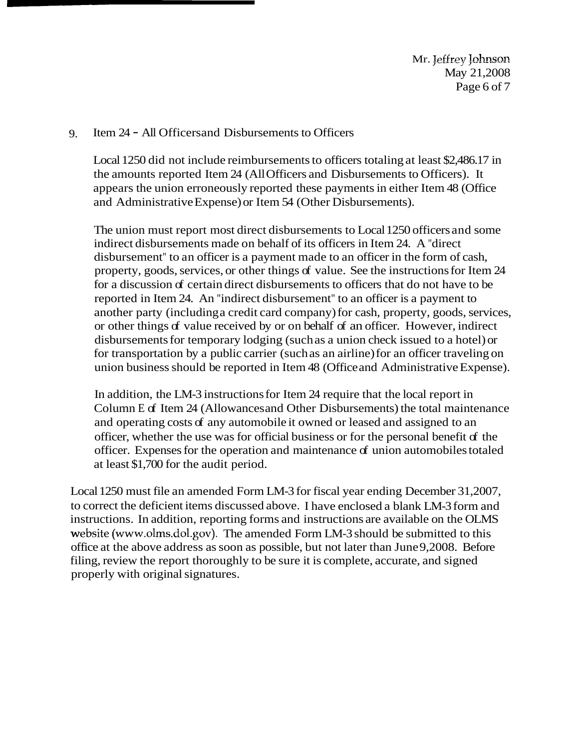Mr. Jeffrey Johnson May 21,2008 Page 6 of 7

#### 9. Item 24 - All Officers and Disbursements to Officers

Local 1250 did not include reimbursements to officers totaling at least \$2,486.17 in the amounts reported Item 24 (All Officers and Disbursements to Officers). It appears the union erroneously reported these payments in either Item 48 (Office and Administrative Expense) or Item 54 (Other Disbursements).

The union must report most direct disbursements to Local 1250 officers and some indirect disbursements made on behalf of its officers in Item 24. A "direct disbursement" to an officer is a payment made to an officer in the form of cash, property, goods, services, or other things of value. See the instructions for Item 24 for a discussion of certain direct disbursements to officers that do not have to be reported in Item 24. An "indirect disbursement" to an officer is a payment to another party (including a credit card company) for cash, property, goods, services, or other things of value received by or on behalf of an officer. However, indirect disbursements for temporary lodging (such as a union check issued to a hotel) or for transportation by a public carrier (such as an airline) for an officer traveling on union business should be reported in Item 48 (Office and Administrative Expense).

In addition, the LM-3 instructions for Item 24 require that the local report in Column E of Item 24 (Allowances and Other Disbursements) the total maintenance and operating costs of any automobile it owned or leased and assigned to an officer, whether the use was for official business or for the personal benefit of the officer. Expenses for the operation and maintenance of union automobiles totaled at least \$1,700 for the audit period.

Local 1250 must file an amended Form LM-3 for fiscal year ending December 31,2007, to correct the deficient items discussed above. I have enclosed a blank LM-3 form and instructions. In addition, reporting forms and instructions are available on the OLMS website (www.olms.dol.gov). The amended Form LM-3 should be submitted to this office at the above address as soon as possible, but not later than June 9,2008. Before filing, review the report thoroughly to be sure it is complete, accurate, and signed properly with original signatures.